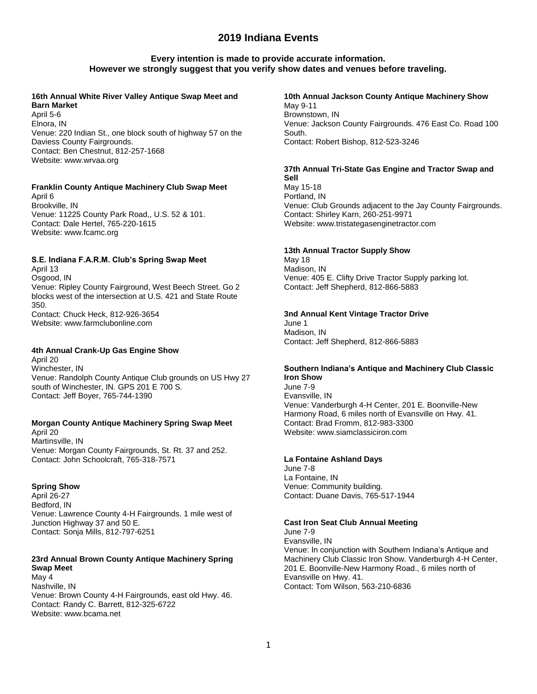## **Every intention is made to provide accurate information. However we strongly suggest that you verify show dates and venues before traveling.**

## **16th Annual White River Valley Antique Swap Meet and Barn Market**

April 5-6 Elnora, IN Venue: 220 Indian St., one block south of highway 57 on the Daviess County Fairgrounds. Contact: Ben Chestnut, 812-257-1668 Website: www.wrvaa.org

### **Franklin County Antique Machinery Club Swap Meet**

April 6 Brookville, IN Venue: 11225 County Park Road,, U.S. 52 & 101. Contact: Dale Hertel, 765-220-1615 Website: www.fcamc.org

### **S.E. Indiana F.A.R.M. Club's Spring Swap Meet**

April 13 Osgood, IN Venue: Ripley County Fairground, West Beech Street. Go 2 blocks west of the intersection at U.S. 421 and State Route 350. Contact: Chuck Heck, 812-926-3654 Website: www.farmclubonline.com

### **4th Annual Crank-Up Gas Engine Show**

April 20 Winchester, IN Venue: Randolph County Antique Club grounds on US Hwy 27 south of Winchester, IN. GPS 201 E 700 S. Contact: Jeff Boyer, 765-744-1390

### **Morgan County Antique Machinery Spring Swap Meet**

April 20 Martinsville, IN Venue: Morgan County Fairgrounds, St. Rt. 37 and 252. Contact: John Schoolcraft, 765-318-7571

### **Spring Show**

April 26-27 Bedford, IN Venue: Lawrence County 4-H Fairgrounds. 1 mile west of Junction Highway 37 and 50 E. Contact: Sonja Mills, 812-797-6251

## **23rd Annual Brown County Antique Machinery Spring Swap Meet**

May 4 Nashville, IN Venue: Brown County 4-H Fairgrounds, east old Hwy. 46. Contact: Randy C. Barrett, 812-325-6722 Website: www.bcama.net

### **10th Annual Jackson County Antique Machinery Show** May 9-11 Brownstown, IN Venue: Jackson County Fairgrounds. 476 East Co. Road 100 South. Contact: Robert Bishop, 812-523-3246

### **37th Annual Tri-State Gas Engine and Tractor Swap and Sell**

May 15-18 Portland, IN Venue: Club Grounds adjacent to the Jay County Fairgrounds. Contact: Shirley Karn, 260-251-9971 Website: www.tristategasenginetractor.com

## **13th Annual Tractor Supply Show**

May 18 Madison, IN Venue: 405 E. Clifty Drive Tractor Supply parking lot. Contact: Jeff Shepherd, 812-866-5883

### **3nd Annual Kent Vintage Tractor Drive**

June 1 Madison, IN Contact: Jeff Shepherd, 812-866-5883

### **Southern Indiana's Antique and Machinery Club Classic Iron Show**

June 7-9 Evansville, IN Venue: Vanderburgh 4-H Center, 201 E. Boonville-New Harmony Road, 6 miles north of Evansville on Hwy. 41. Contact: Brad Fromm, 812-983-3300 Website: www.siamclassiciron.com

## **La Fontaine Ashland Days**

June 7-8 La Fontaine, IN Venue: Community building. Contact: Duane Davis, 765-517-1944

### **Cast Iron Seat Club Annual Meeting**

June 7-9 Evansville, IN Venue: In conjunction with Southern Indiana's Antique and Machinery Club Classic Iron Show. Vanderburgh 4-H Center, 201 E. Boonville-New Harmony Road., 6 miles north of Evansville on Hwy. 41. Contact: Tom Wilson, 563-210-6836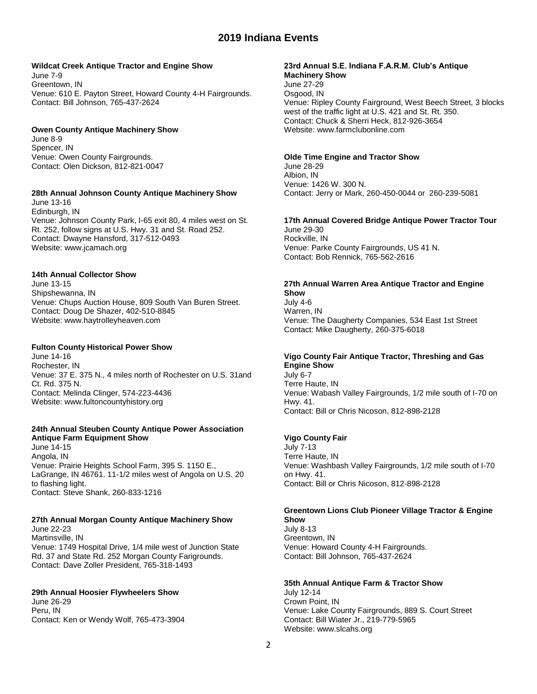### **Wildcat Creek Antique Tractor and Engine Show**

June 7-9 Greentown, IN Venue: 610 E. Payton Street, Howard County 4-H Fairgrounds. Contact: Bill Johnson, 765-437-2624

### **Owen County Antique Machinery Show**

June 8-9 Spencer, IN Venue: Owen County Fairgrounds. Contact: Olen Dickson, 812-821-0047

### **28th Annual Johnson County Antique Machinery Show**

June 13-16 Edinburgh, IN Venue: Johnson County Park, I-65 exit 80, 4 miles west on St. Rt. 252, follow signs at U.S. Hwy. 31 and St. Road 252. Contact: Dwayne Hansford, 317-512-0493 Website: www.jcamach.org

## **14th Annual Collector Show**

June 13-15 Shipshewanna, IN Venue: Chups Auction House, 809 South Van Buren Street. Contact: Doug De Shazer, 402-510-8845 Website: www.haytrolleyheaven.com

### **Fulton County Historical Power Show**

June 14-16 Rochester, IN Venue: 37 E. 375 N., 4 miles north of Rochester on U.S. 31and Ct. Rd. 375 N. Contact: Melinda Clinger, 574-223-4436 Website: www.fultoncountyhistory.org

## **24th Annual Steuben County Antique Power Association Antique Farm Equipment Show**

June 14-15 Angola, IN Venue: Prairie Heights School Farm, 395 S. 1150 E., LaGrange, IN 46761. 11-1/2 miles west of Angola on U.S. 20 to flashing light. Contact: Steve Shank, 260-833-1216

### **27th Annual Morgan County Antique Machinery Show**

June 22-23 Martinsville, IN Venue: 1749 Hospital Drive, 1/4 mile west of Junction State Rd. 37 and State Rd. 252 Morgan County Farigrounds. Contact: Dave Zoller President, 765-318-1493

### **29th Annual Hoosier Flywheelers Show**

June 26-29 Peru, IN Contact: Ken or Wendy Wolf, 765-473-3904

#### **23rd Annual S.E. Indiana F.A.R.M. Club's Antique Machinery Show**

June 27-29 Osgood, IN Venue: Ripley County Fairground, West Beech Street, 3 blocks west of the traffic light at U.S. 421 and St. Rt. 350. Contact: Chuck & Sherri Heck, 812-926-3654 Website: www.farmclubonline.com

### **Olde Time Engine and Tractor Show**

June 28-29 Albion, IN Venue: 1426 W. 300 N. Contact: Jerry or Mark, 260-450-0044 or 260-239-5081

## **17th Annual Covered Bridge Antique Power Tractor Tour**

June 29-30 Rockville, IN Venue: Parke County Fairgrounds, US 41 N. Contact: Bob Rennick, 765-562-2616

# **27th Annual Warren Area Antique Tractor and Engine**

**Show** July 4-6 Warren, IN Venue: The Daugherty Companies, 534 East 1st Street Contact: Mike Daugherty, 260-375-6018

### **Vigo County Fair Antique Tractor, Threshing and Gas Engine Show**

July 6-7 Terre Haute, IN Venue: Wabash Valley Fairgrounds, 1/2 mile south of I-70 on Hwy. 41. Contact: Bill or Chris Nicoson, 812-898-2128

### **Vigo County Fair**

July 7-13 Terre Haute, IN Venue: Washbash Valley Fairgrounds, 1/2 mile south of I-70 on Hwy. 41. Contact: Bill or Chris Nicoson, 812-898-2128

#### **Greentown Lions Club Pioneer Village Tractor & Engine Show**

July 8-13 Greentown, IN Venue: Howard County 4-H Fairgrounds. Contact: Bill Johnson, 765-437-2624

## **35th Annual Antique Farm & Tractor Show**

July 12-14 Crown Point, IN Venue: Lake County Fairgrounds, 889 S. Court Street Contact: Bill Wiater Jr., 219-779-5965 Website: www.slcahs.org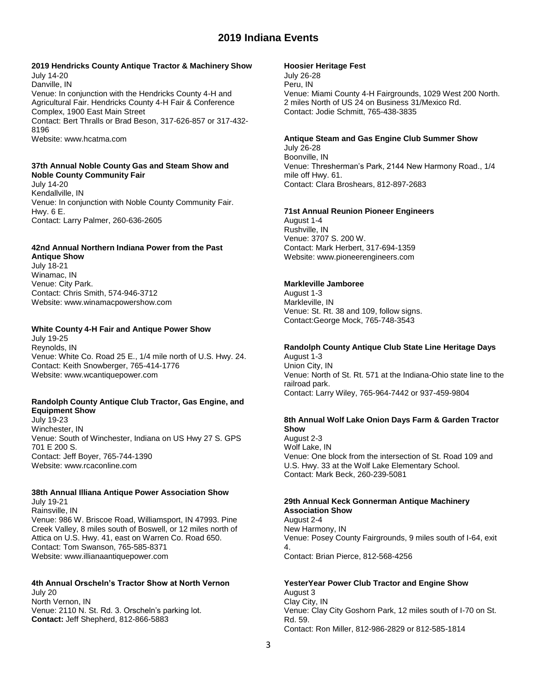### **2019 Hendricks County Antique Tractor & Machinery Show** July 14-20

Danville, IN Venue: In conjunction with the Hendricks County 4-H and Agricultural Fair. Hendricks County 4-H Fair & Conference Complex, 1900 East Main Street Contact: Bert Thralls or Brad Beson, 317-626-857 or 317-432- 8196 Website: www.hcatma.com

## **37th Annual Noble County Gas and Steam Show and Noble County Community Fair**

July 14-20 Kendallville, IN Venue: In conjunction with Noble County Community Fair. Hwy. 6 E. Contact: Larry Palmer, 260-636-2605

# **42nd Annual Northern Indiana Power from the Past**

**Antique Show** July 18-21 Winamac, IN Venue: City Park. Contact: Chris Smith, 574-946-3712 Website: www.winamacpowershow.com

## **White County 4-H Fair and Antique Power Show**

July 19-25 Reynolds, IN Venue: White Co. Road 25 E., 1/4 mile north of U.S. Hwy. 24. Contact: Keith Snowberger, 765-414-1776 Website: www.wcantiquepower.com

### **Randolph County Antique Club Tractor, Gas Engine, and Equipment Show**

July 19-23 Winchester, IN Venue: South of Winchester, Indiana on US Hwy 27 S. GPS 701 E 200 S. Contact: Jeff Boyer, 765-744-1390 Website: www.rcaconline.com

# **38th Annual Illiana Antique Power Association Show**

July 19-21 Rainsville, IN Venue: 986 W. Briscoe Road, Williamsport, IN 47993. Pine Creek Valley, 8 miles south of Boswell, or 12 miles north of Attica on U.S. Hwy. 41, east on Warren Co. Road 650. Contact: Tom Swanson, 765-585-8371 Website: www.illianaantiquepower.com

### **4th Annual Orscheln's Tractor Show at North Vernon** July 20 North Vernon, IN Venue: 2110 N. St. Rd. 3. Orscheln's parking lot. **Contact:** Jeff Shepherd, 812-866-5883

### **Hoosier Heritage Fest**

July 26-28 Peru, IN Venue: Miami County 4-H Fairgrounds, 1029 West 200 North. 2 miles North of US 24 on Business 31/Mexico Rd. Contact: Jodie Schmitt, 765-438-3835

## **Antique Steam and Gas Engine Club Summer Show**

July 26-28 Boonville, IN Venue: Thresherman's Park, 2144 New Harmony Road., 1/4 mile off Hwy. 61. Contact: Clara Broshears, 812-897-2683

## **71st Annual Reunion Pioneer Engineers**

August 1-4 Rushville, IN Venue: 3707 S. 200 W. Contact: Mark Herbert, 317-694-1359 Website: www.pioneerengineers.com

## **Markleville Jamboree**

August 1-3 Markleville, IN Venue: St. Rt. 38 and 109, follow signs. Contact:George Mock, 765-748-3543

# **Randolph County Antique Club State Line Heritage Days**

August 1-3 Union City, IN Venue: North of St. Rt. 571 at the Indiana-Ohio state line to the railroad park. Contact: Larry Wiley, 765-964-7442 or 937-459-9804

### **8th Annual Wolf Lake Onion Days Farm & Garden Tractor Show**

August 2-3 Wolf Lake, IN Venue: One block from the intersection of St. Road 109 and U.S. Hwy. 33 at the Wolf Lake Elementary School. Contact: Mark Beck, 260-239-5081

### **29th Annual Keck Gonnerman Antique Machinery Association Show**

August 2-4 New Harmony, IN Venue: Posey County Fairgrounds, 9 miles south of I-64, exit 4. Contact: Brian Pierce, 812-568-4256

**YesterYear Power Club Tractor and Engine Show** August 3 Clay City, IN Venue: Clay City Goshorn Park, 12 miles south of I-70 on St. Rd. 59. Contact: Ron Miller, 812-986-2829 or 812-585-1814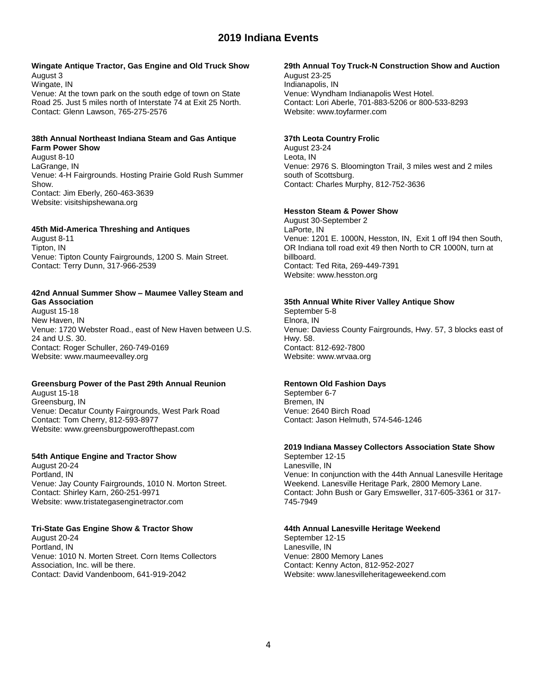### **Wingate Antique Tractor, Gas Engine and Old Truck Show** August 3

Wingate, IN Venue: At the town park on the south edge of town on State Road 25. Just 5 miles north of Interstate 74 at Exit 25 North. Contact: Glenn Lawson, 765-275-2576

### **38th Annual Northeast Indiana Steam and Gas Antique Farm Power Show**

August 8-10 LaGrange, IN Venue: 4-H Fairgrounds. Hosting Prairie Gold Rush Summer Show. Contact: Jim Eberly, 260-463-3639 Website: visitshipshewana.org

## **45th Mid-America Threshing and Antiques**

August 8-11 Tipton, IN Venue: Tipton County Fairgrounds, 1200 S. Main Street. Contact: Terry Dunn, 317-966-2539

#### **42nd Annual Summer Show – Maumee Valley Steam and Gas Association**

August 15-18 New Haven, IN Venue: 1720 Webster Road., east of New Haven between U.S. 24 and U.S. 30. Contact: Roger Schuller, 260-749-0169 Website: www.maumeevalley.org

## **Greensburg Power of the Past 29th Annual Reunion**

August 15-18 Greensburg, IN Venue: Decatur County Fairgrounds, West Park Road Contact: Tom Cherry, 812-593-8977 Website: www.greensburgpowerofthepast.com

### **54th Antique Engine and Tractor Show**

August 20-24 Portland, IN Venue: Jay County Fairgrounds, 1010 N. Morton Street. Contact: Shirley Karn, 260-251-9971 Website: www.tristategasenginetractor.com

### **Tri-State Gas Engine Show & Tractor Show**

August 20-24 Portland, IN Venue: 1010 N. Morten Street. Corn Items Collectors Association, Inc. will be there. Contact: David Vandenboom, 641-919-2042

### **29th Annual Toy Truck-N Construction Show and Auction**

August 23-25 Indianapolis, IN Venue: Wyndham Indianapolis West Hotel. Contact: Lori Aberle, 701-883-5206 or 800-533-8293 Website: www.toyfarmer.com

### **37th Leota Country Frolic**

August 23-24 Leota, IN Venue: 2976 S. Bloomington Trail, 3 miles west and 2 miles south of Scottsburg. Contact: Charles Murphy, 812-752-3636

## **Hesston Steam & Power Show**

August 30-September 2 LaPorte, IN Venue: 1201 E. 1000N, Hesston, IN, Exit 1 off I94 then South, OR Indiana toll road exit 49 then North to CR 1000N, turn at billboard. Contact: Ted Rita, 269-449-7391 Website: www.hesston.org

### **35th Annual White River Valley Antique Show**

September 5-8 Elnora, IN Venue: Daviess County Fairgrounds, Hwy. 57, 3 blocks east of Hwy. 58. Contact: 812-692-7800 Website: www.wrvaa.org

## **Rentown Old Fashion Days**

September 6-7 Bremen, IN Venue: 2640 Birch Road Contact: Jason Helmuth, 574-546-1246

# **2019 Indiana Massey Collectors Association State Show**

September 12-15 Lanesville, IN Venue: In conjunction with the 44th Annual Lanesville Heritage Weekend. Lanesville Heritage Park, 2800 Memory Lane. Contact: John Bush or Gary Emsweller, 317-605-3361 or 317- 745-7949

### **44th Annual Lanesville Heritage Weekend**

September 12-15 Lanesville, IN Venue: 2800 Memory Lanes Contact: Kenny Acton, 812-952-2027 Website: www.lanesvilleheritageweekend.com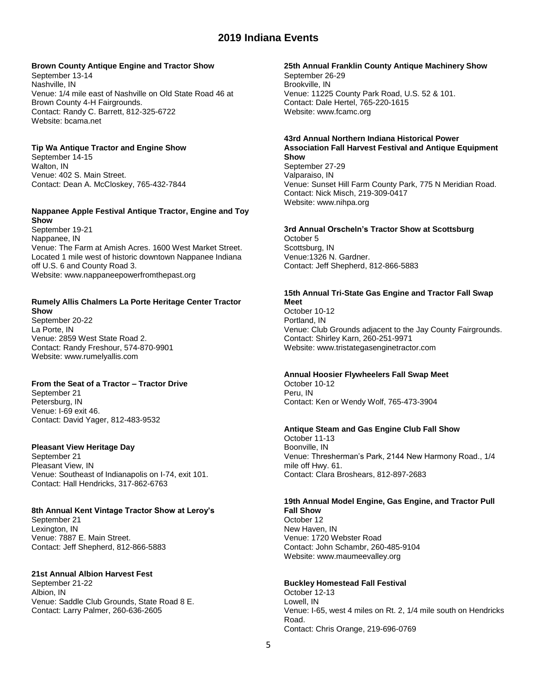### **Brown County Antique Engine and Tractor Show**

September 13-14 Nashville, IN Venue: 1/4 mile east of Nashville on Old State Road 46 at Brown County 4-H Fairgrounds. Contact: Randy C. Barrett, 812-325-6722 Website: bcama.net

### **Tip Wa Antique Tractor and Engine Show**

September 14-15 Walton, IN Venue: 402 S. Main Street. Contact: Dean A. McCloskey, 765-432-7844

### **Nappanee Apple Festival Antique Tractor, Engine and Toy Show**

September 19-21 Nappanee, IN Venue: The Farm at Amish Acres. 1600 West Market Street. Located 1 mile west of historic downtown Nappanee Indiana off U.S. 6 and County Road 3. Website: www.nappaneepowerfromthepast.org

#### **Rumely Allis Chalmers La Porte Heritage Center Tractor Show**

September 20-22 La Porte, IN Venue: 2859 West State Road 2. Contact: Randy Freshour, 574-870-9901 Website: www.rumelyallis.com

## **From the Seat of a Tractor – Tractor Drive**

September 21 Petersburg, IN Venue: I-69 exit 46. Contact: David Yager, 812-483-9532

### **Pleasant View Heritage Day**

September 21 Pleasant View, IN Venue: Southeast of Indianapolis on I-74, exit 101. Contact: Hall Hendricks, 317-862-6763

# **8th Annual Kent Vintage Tractor Show at Leroy's**

September 21 Lexington, IN Venue: 7887 E. Main Street. Contact: Jeff Shepherd, 812-866-5883

### **21st Annual Albion Harvest Fest**

September 21-22 Albion, IN Venue: Saddle Club Grounds, State Road 8 E. Contact: Larry Palmer, 260-636-2605

### **25th Annual Franklin County Antique Machinery Show**

September 26-29 Brookville, IN Venue: 11225 County Park Road, U.S. 52 & 101. Contact: Dale Hertel, 765-220-1615 Website: www.fcamc.org

### **43rd Annual Northern Indiana Historical Power Association Fall Harvest Festival and Antique Equipment Show**

September 27-29 Valparaiso, IN Venue: Sunset Hill Farm County Park, 775 N Meridian Road. Contact: Nick Misch, 219-309-0417 Website: www.nihpa.org

#### **3rd Annual Orscheln's Tractor Show at Scottsburg** October 5

Scottsburg, IN Venue:1326 N. Gardner. Contact: Jeff Shepherd, 812-866-5883

#### **15th Annual Tri-State Gas Engine and Tractor Fall Swap Meet**

October 10-12 Portland, IN Venue: Club Grounds adjacent to the Jay County Fairgrounds. Contact: Shirley Karn, 260-251-9971 Website: www.tristategasenginetractor.com

### **Annual Hoosier Flywheelers Fall Swap Meet**

October 10-12 Peru, IN Contact: Ken or Wendy Wolf, 765-473-3904

### **Antique Steam and Gas Engine Club Fall Show**

October 11-13 Boonville, IN Venue: Thresherman's Park, 2144 New Harmony Road., 1/4 mile off Hwy. 61. Contact: Clara Broshears, 812-897-2683

# **19th Annual Model Engine, Gas Engine, and Tractor Pull Fall Show**

October 12 New Haven, IN Venue: 1720 Webster Road Contact: John Schambr, 260-485-9104 Website: www.maumeevalley.org

### **Buckley Homestead Fall Festival**

October 12-13 Lowell, IN Venue: I-65, west 4 miles on Rt. 2, 1/4 mile south on Hendricks Road. Contact: Chris Orange, 219-696-0769